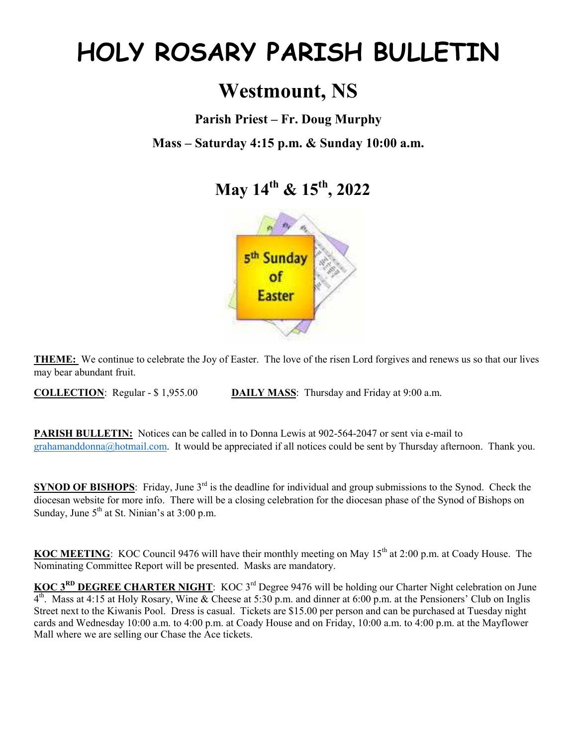# **HOLY ROSARY PARISH BULLETIN**

## **Westmount, NS**

#### **Parish Priest – Fr. Doug Murphy**

#### **Mass – Saturday 4:15 p.m. & Sunday 10:00 a.m.**

### **May 14th & 15th, 2022**



**THEME:** We continue to celebrate the Joy of Easter. The love of the risen Lord forgives and renews us so that our lives may bear abundant fruit.

**COLLECTION**: Regular - \$ 1,955.00 **DAILY MASS**: Thursday and Friday at 9:00 a.m.

**PARISH BULLETIN:** Notices can be called in to Donna Lewis at 902-564-2047 or sent via e-mail to grahamanddonna@hotmail.com. It would be appreciated if all notices could be sent by Thursday afternoon. Thank you.

**SYNOD OF BISHOPS**: Friday, June 3<sup>rd</sup> is the deadline for individual and group submissions to the Synod. Check the diocesan website for more info. There will be a closing celebration for the diocesan phase of the Synod of Bishops on Sunday, June  $5<sup>th</sup>$  at St. Ninian's at 3:00 p.m.

**KOC MEETING**: KOC Council 9476 will have their monthly meeting on May 15<sup>th</sup> at 2:00 p.m. at Coady House. The Nominating Committee Report will be presented. Masks are mandatory.

**KOC 3RD DEGREE CHARTER NIGHT**: KOC 3rd Degree 9476 will be holding our Charter Night celebration on June  $4<sup>th</sup>$ . Mass at 4:15 at Holy Rosary, Wine & Cheese at 5:30 p.m. and dinner at 6:00 p.m. at the Pensioners' Club on Inglis Street next to the Kiwanis Pool. Dress is casual. Tickets are \$15.00 per person and can be purchased at Tuesday night cards and Wednesday 10:00 a.m. to 4:00 p.m. at Coady House and on Friday, 10:00 a.m. to 4:00 p.m. at the Mayflower Mall where we are selling our Chase the Ace tickets.